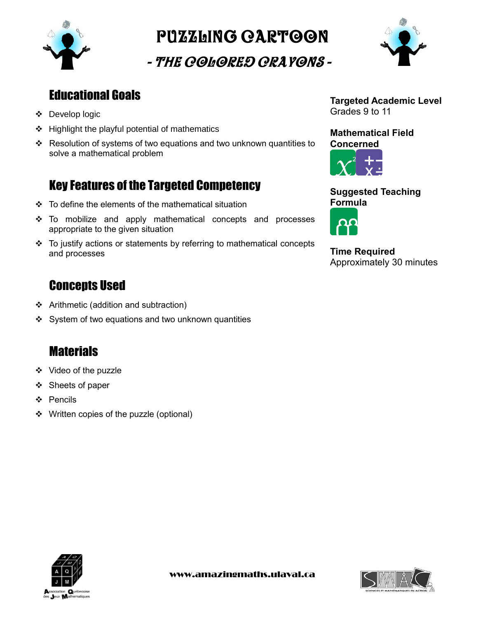

Puzzling cartoon

- The Colored Crayons -



## Educational Goals

- Develop logic
- $\div$  Highlight the playful potential of mathematics
- Resolution of systems of two equations and two unknown quantities to solve a mathematical problem

## Key Features of the Targeted Competency

- $\div$  To define the elements of the mathematical situation
- To mobilize and apply mathematical concepts and processes appropriate to the given situation
- To justify actions or statements by referring to mathematical concepts and processes

## **Concepts Used**

- Arithmetic (addition and subtraction)
- $\div$  System of two equations and two unknown quantities

# **Materials**

- Video of the puzzle
- ❖ Sheets of paper
- ❖ Pencils
- ❖ Written copies of the puzzle (optional)

**Targeted Academic Level** Grades 9 to 11

**Mathematical Field Concerned**



**Suggested Teaching Formula**



**Time Required** Approximately 30 minutes



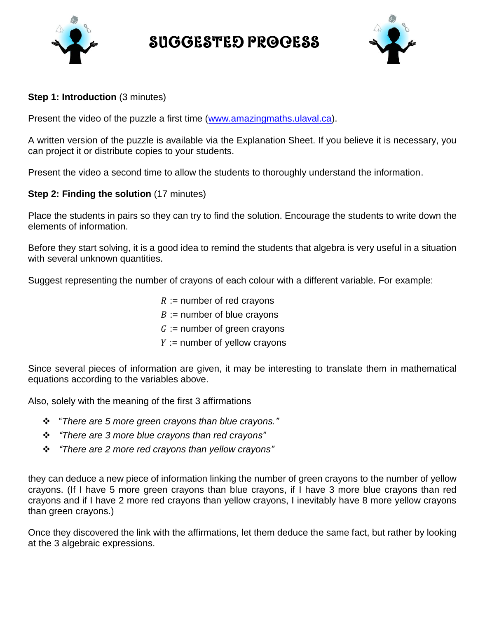

Suggested Process



#### **Step 1: Introduction** (3 minutes)

Present the video of the puzzle a first time [\(www.amazingmaths.ulaval.ca\)](http://www.amazingmaths.ulaval.ca/).

A written version of the puzzle is available via the Explanation Sheet. If you believe it is necessary, you can project it or distribute copies to your students.

Present the video a second time to allow the students to thoroughly understand the information.

### **Step 2: Finding the solution** (17 minutes)

Place the students in pairs so they can try to find the solution. Encourage the students to write down the elements of information.

Before they start solving, it is a good idea to remind the students that algebra is very useful in a situation with several unknown quantities.

Suggest representing the number of crayons of each colour with a different variable. For example:

 $R :=$  number of red crayons  $B :=$  number of blue crayons  $G :=$  number of green crayons  $Y :=$  number of yellow crayons

Since several pieces of information are given, it may be interesting to translate them in mathematical equations according to the variables above.

Also, solely with the meaning of the first 3 affirmations

- "*There are 5 more green crayons than blue crayons."*
- *"There are 3 more blue crayons than red crayons"*
- *"There are 2 more red crayons than yellow crayons"*

they can deduce a new piece of information linking the number of green crayons to the number of yellow crayons. (If I have 5 more green crayons than blue crayons, if I have 3 more blue crayons than red crayons and if I have 2 more red crayons than yellow crayons, I inevitably have 8 more yellow crayons than green crayons.)

Once they discovered the link with the affirmations, let them deduce the same fact, but rather by looking at the 3 algebraic expressions.